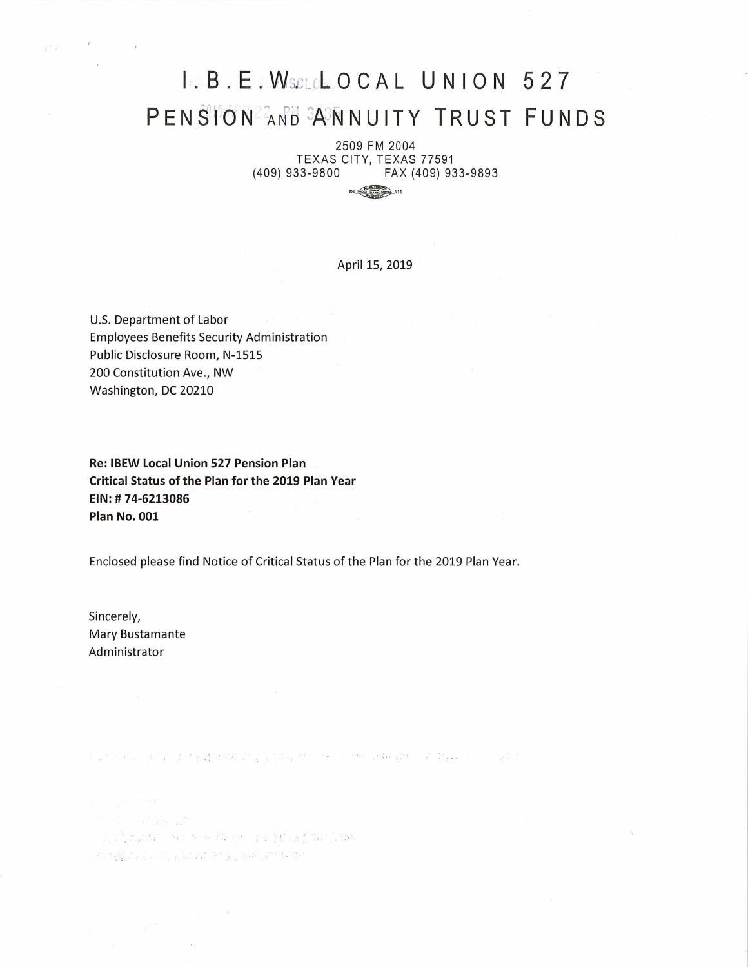# **I. B. E. WSCLOLOCAL UNION 527 PEN §T<sup>3</sup> 6 N··** ~A JtJ ¾JN **NU IT Y TRUST FU ND S**

2509 FM 2004 TEXAS CITY, TEXAS 77591<br>1939 (409) 933-9800 FAX (409) (409) 933-9800 FAX (409) 933-9893

 $\frac{1}{2}$   $\frac{1}{2}$   $\frac{1}{2}$   $\frac{1}{2}$   $\frac{1}{2}$   $\frac{1}{2}$   $\frac{1}{2}$   $\frac{1}{2}$   $\frac{1}{2}$   $\frac{1}{2}$   $\frac{1}{2}$   $\frac{1}{2}$   $\frac{1}{2}$   $\frac{1}{2}$   $\frac{1}{2}$   $\frac{1}{2}$   $\frac{1}{2}$   $\frac{1}{2}$   $\frac{1}{2}$   $\frac{1}{2}$   $\frac{1}{2}$   $\frac{1}{2}$ 

April 15, 2019

U.S. Department of Labor Employees Benefits Security Administration Public Disclosure Room, N-1515 200 Constitution Ave., NW Washington, DC 20210

**Re: IBEW Local Union 527 Pension Plan Critical Status of the Plan for the 2019 Plan Year EIN: # 74-6213086 Plan No. 001** 

Enclosed please find Notice of Critical Status of the Plan for the 2019 Plan Year.

Sincerely, Mary Bustamante Administrator

 $\chi^{(-3\epsilon)}$ 

2010

 $\begin{array}{cccccccccc} 0.8 & & & 0.8 & & 0.8 & & 0.8 & & 0.8 & & 0.8 & & 0.8 & & 0.8 & & 0.8 & & 0.8 & & 0.8 & & 0.8 & & 0.8 & & 0.8 & & 0.8 & & 0.8 & & 0.8 & & 0.8 & & 0.8 & & 0.8 & & 0.8 & & 0.8 & & 0.8 & & 0.8 & & 0.8 & & 0.8 & & 0.8 & & 0.8 & & 0.8 & & 0.8 & & 0.8 & & 0.8 & & 0.8 & & 0.8 & & 0.8 & &$ ' . The state of the state of the state of the state of the state of the state of the state of the state of the state of the state of the state of the state of the state of the state of the state of the state of the state of t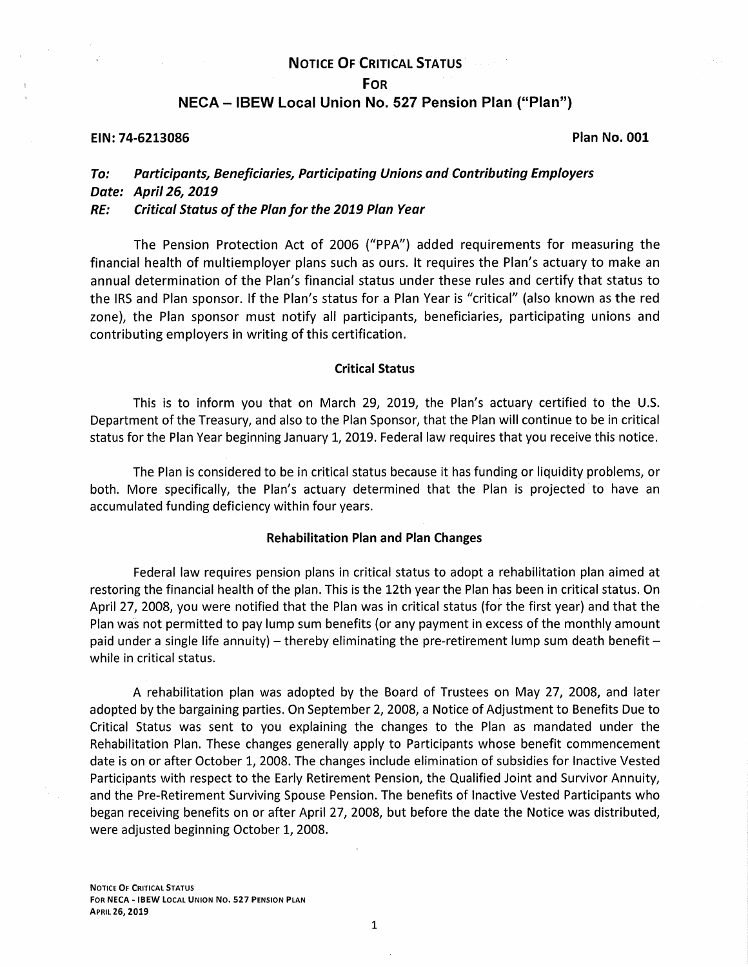## **NOTICE OF CRITICAL STATUS**

### **FOR**

## **NECA - IBEW Local Union No. 527 Pension Plan ("Plan")**

## **EIN: 74-6213086 Plan No. 001**

# **To: Participants, Beneficiaries, Participating Unions and Contributing Employers Date: April 26, 2019**

## **RE: Critical Status of the Plan for the 2019 Plan Year**

The Pension Protection Act of 2006 ("PPA") added requirements for measuring the financial health of multiemployer plans such as ours. It requires the Plan's actuary to make an annual determination of the Plan's financial status under these rules and certify that status to the IRS and Plan sponsor. If the Plan's status for a Plan Year is "critical" (also known as the red zone), the Plan sponsor must notify all participants, beneficiaries, participating unions and contributing employers in writing of this certification.

#### **Critical Status**

This is to inform you that on March 29, 2019, the Plan's actuary certified to the U.S. Department of the Treasury, and also to the Plan Sponsor, that the Plan will continue to be in critical status for the Plan Year beginning January 1, 2019. Federal law requires that you receive this notice.

The Plan is considered to be in critical status because it has funding or liquidity problems, or both. More specifically, the Plan's actuary determined that the Plan is projected to have an accumulated funding deficiency within four years.

## **Rehabilitation Plan and Plan Changes**

Federal law requires pension plans in critical status to adopt a rehabilitation plan aimed at restoring the financial health of the plan. This is the 12th year the Plan has been in critical status. On April 27, 2008, you were notified that the Plan was in critical status (for the first year) and that the Plan was not permitted to pay lump sum benefits (or any payment in excess of the monthly amount paid under a single life annuity) – thereby eliminating the pre-retirement lump sum death benefit – while in critical status.

A rehabilitation plan was adopted by the Board of Trustees on May 27, 2008, and later adopted by the bargaining parties. On September 2, 2008, a Notice of Adjustment to Benefits Due to Critical Status was sent to you explaining the changes to the Plan as mandated under the Rehabilitation Plan. These changes generally apply to Participants whose benefit commencement date is on or after October 1, 2008. The changes include elimination of subsidies for Inactive Vested Participants with respect to the Early Retirement Pension, the Qualified Joint and Survivor Annuity, and the Pre-Retirement Surviving Spouse Pension. The benefits of Inactive Vested Participants who began receiving benefits on or after April 27, 2008, but before the date the Notice was distributed, were adjusted beginning October 1, 2008.